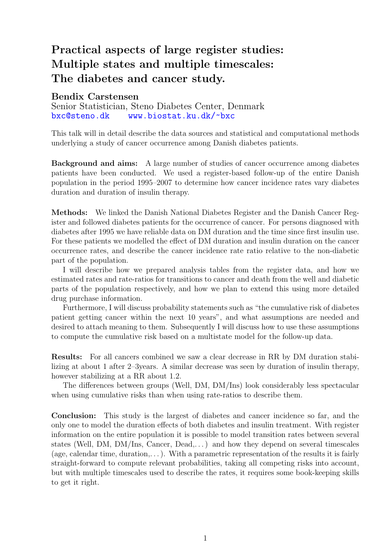## Practical aspects of large register studies: Multiple states and multiple timescales: The diabetes and cancer study.

## Bendix Carstensen

Senior Statistician, Steno Diabetes Center, Denmark [bxc@steno.dk](mailto:bxc@steno.dk) <www.biostat.ku.dk/~bxc>

This talk will in detail describe the data sources and statistical and computational methods underlying a study of cancer occurrence among Danish diabetes patients.

Background and aims: A large number of studies of cancer occurrence among diabetes patients have been conducted. We used a register-based follow-up of the entire Danish population in the period 1995–2007 to determine how cancer incidence rates vary diabetes duration and duration of insulin therapy.

Methods: We linked the Danish National Diabetes Register and the Danish Cancer Register and followed diabetes patients for the occurrence of cancer. For persons diagnosed with diabetes after 1995 we have reliable data on DM duration and the time since first insulin use. For these patients we modelled the effect of DM duration and insulin duration on the cancer occurrence rates, and describe the cancer incidence rate ratio relative to the non-diabetic part of the population.

I will describe how we prepared analysis tables from the register data, and how we estimated rates and rate-ratios for transitions to cancer and death from the well and diabetic parts of the population respectively, and how we plan to extend this using more detailed drug purchase information.

Furthermore, I will discuss probability statements such as "the cumulative risk of diabetes patient getting cancer within the next 10 years", and what assumptions are needed and desired to attach meaning to them. Subsequently I will discuss how to use these assumptions to compute the cumulative risk based on a multistate model for the follow-up data.

Results: For all cancers combined we saw a clear decrease in RR by DM duration stabilizing at about 1 after 2–3years. A similar decrease was seen by duration of insulin therapy, however stabilizing at a RR about 1.2.

The differences between groups (Well, DM, DM/Ins) look considerably less spectacular when using cumulative risks than when using rate-ratios to describe them.

Conclusion: This study is the largest of diabetes and cancer incidence so far, and the only one to model the duration effects of both diabetes and insulin treatment. With register information on the entire population it is possible to model transition rates between several states (Well, DM, DM/Ins, Cancer, Dead,...) and how they depend on several timescales (age, calendar time, duration,...). With a parametric representation of the results it is fairly straight-forward to compute relevant probabilities, taking all competing risks into account, but with multiple timescales used to describe the rates, it requires some book-keeping skills to get it right.